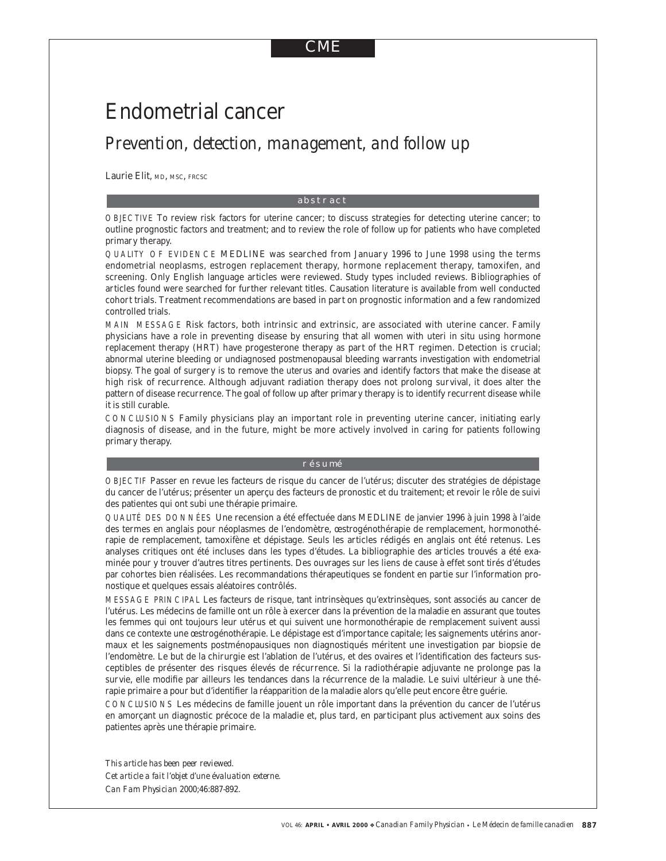# CME

# Endometrial cancer

# *Prevention, detection, management, and follow up*

Laurie Elit, MD, MSC, FRCSC

#### abstract

OBJECTIVE To review risk factors for uterine cancer; to discuss strategies for detecting uterine cancer; to outline prognostic factors and treatment; and to review the role of follow up for patients who have completed primary therapy.

QUALITY OF EVIDENCE MEDLINE was searched from January 1996 to June 1998 using the terms endometrial neoplasms, estrogen replacement therapy, hormone replacement therapy, tamoxifen, and screening. Only English language articles were reviewed. Study types included reviews. Bibliographies of articles found were searched for further relevant titles. Causation literature is available from well conducted cohort trials. Treatment recommendations are based in part on prognostic information and a few randomized controlled trials.

MAIN MESSAGE Risk factors, both intrinsic and extrinsic, are associated with uterine cancer. Family physicians have a role in preventing disease by ensuring that all women with uteri in situ using hormone replacement therapy (HRT) have progesterone therapy as part of the HRT regimen. Detection is crucial; abnormal uterine bleeding or undiagnosed postmenopausal bleeding warrants investigation with endometrial biopsy. The goal of surgery is to remove the uterus and ovaries and identify factors that make the disease at high risk of recurrence. Although adjuvant radiation therapy does not prolong survival, it does alter the pattern of disease recurrence. The goal of follow up after primary therapy is to identify recurrent disease while it is still curable.

CONCLUSIONS Family physicians play an important role in preventing uterine cancer, initiating early diagnosis of disease, and in the future, might be more actively involved in caring for patients following primary therapy.

#### résumé

OBJECTIF Passer en revue les facteurs de risque du cancer de l'utérus; discuter des stratégies de dépistage du cancer de l'utérus; présenter un aperçu des facteurs de pronostic et du traitement; et revoir le rôle de suivi des patientes qui ont subi une thérapie primaire.

QUALITÉ DES DONNÉES Une recension a été effectuée dans MEDLINE de janvier 1996 à juin 1998 à l'aide des termes en anglais pour néoplasmes de l'endomètre, œstrogénothérapie de remplacement, hormonothérapie de remplacement, tamoxifène et dépistage. Seuls les articles rédigés en anglais ont été retenus. Les analyses critiques ont été incluses dans les types d'études. La bibliographie des articles trouvés a été examinée pour y trouver d'autres titres pertinents. Des ouvrages sur les liens de cause à effet sont tirés d'études par cohortes bien réalisées. Les recommandations thérapeutiques se fondent en partie sur l'information pronostique et quelques essais aléatoires contrôlés.

MESSAGE PRINCIPAL Les facteurs de risque, tant intrinsèques qu'extrinsèques, sont associés au cancer de l'utérus. Les médecins de famille ont un rôle à exercer dans la prévention de la maladie en assurant que toutes les femmes qui ont toujours leur utérus et qui suivent une hormonothérapie de remplacement suivent aussi dans ce contexte une œstrogénothérapie. Le dépistage est d'importance capitale; les saignements utérins anormaux et les saignements postménopausiques non diagnostiqués méritent une investigation par biopsie de l'endomètre. Le but de la chirurgie est l'ablation de l'utérus, et des ovaires et l'identification des facteurs susceptibles de présenter des risques élevés de récurrence. Si la radiothérapie adjuvante ne prolonge pas la survie, elle modifie par ailleurs les tendances dans la récurrence de la maladie. Le suivi ultérieur à une thérapie primaire a pour but d'identifier la réapparition de la maladie alors qu'elle peut encore être guérie.

CONCLUSIONS Les médecins de famille jouent un rôle important dans la prévention du cancer de l'utérus en amorçant un diagnostic précoce de la maladie et, plus tard, en participant plus activement aux soins des patientes après une thérapie primaire.

*This article has been peer reviewed. Cet article a fait l'objet d'une évaluation externe. Can Fam Physician* 2000;46:887-892.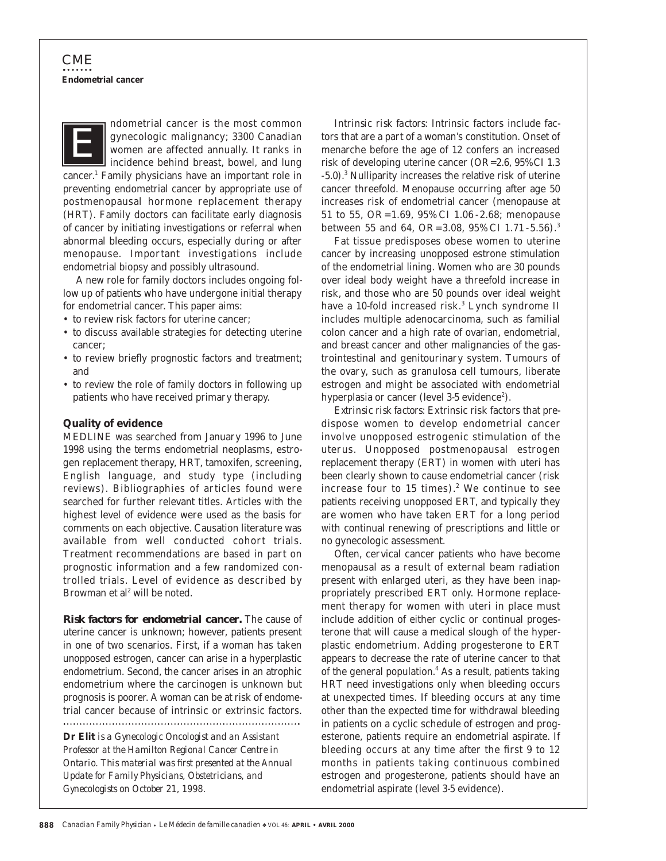ndometrial cancer is the most common gynecologic malignancy; 3300 Canadian women are affected annually. It ranks in incidence behind breast, bowel, and lung cancer.1 Family physicians have an important role in preventing endometrial cancer by appropriate use of postmenopausal hormone replacement therapy (HRT). Family doctors can facilitate early diagnosis of cancer by initiating investigations or referral when abnormal bleeding occurs, especially during or after menopause. Important investigations include endometrial biopsy and possibly ultrasound. *E*

A new role for family doctors includes ongoing follow up of patients who have undergone initial therapy for endometrial cancer. This paper aims:

- to review risk factors for uterine cancer;
- to discuss available strategies for detecting uterine cancer;
- to review briefly prognostic factors and treatment; and
- to review the role of family doctors in following up patients who have received primary therapy.

### **Quality of evidence**

MEDLINE was searched from January 1996 to June 1998 using the terms endometrial neoplasms, estrogen replacement therapy, HRT, tamoxifen, screening, English language, and study type (including reviews). Bibliographies of articles found were searched for further relevant titles. Articles with the highest level of evidence were used as the basis for comments on each objective. Causation literature was available from well conducted cohort trials. Treatment recommendations are based in part on prognostic information and a few randomized controlled trials. Level of evidence as described by Browman et al<sup>2</sup> will be noted.

*Risk factors for endometrial cancer.* The cause of uterine cancer is unknown; however, patients present in one of two scenarios. First, if a woman has taken unopposed estrogen, cancer can arise in a hyperplastic endometrium. Second, the cancer arises in an atrophic endometrium where the carcinogen is unknown but prognosis is poorer. A woman can be at risk of endometrial cancer because of intrinsic or extrinsic factors. 

**Dr Elit** *is a Gynecologic Oncologist and an Assistant Professor at the Hamilton Regional Cancer Centre in Ontario. This material was first presented at the Annual Update for Family Physicians, Obstetricians, and Gynecologists on October 21, 1998.*

*Intrinsic risk factors:* Intrinsic factors include factors that are a part of a woman's constitution. Onset of menarche before the age of 12 confers an increased risk of developing uterine cancer (OR=2.6, 95% CI 1.3 -5.0).3 Nulliparity increases the relative risk of uterine cancer threefold. Menopause occurring after age 50 increases risk of endometrial cancer (menopause at 51 to 55, OR = 1.69, 95% CI 1.06 - 2.68; menopause between 55 and 64, OR = 3.08, 95% CI 1.71 - 5.56).<sup>3</sup>

Fat tissue predisposes obese women to uterine cancer by increasing unopposed estrone stimulation of the endometrial lining. Women who are 30 pounds over ideal body weight have a threefold increase in risk, and those who are 50 pounds over ideal weight have a 10-fold increased risk.<sup>3</sup> Lynch syndrome II includes multiple adenocarcinoma, such as familial colon cancer and a high rate of ovarian, endometrial, and breast cancer and other malignancies of the gastrointestinal and genitourinary system. Tumours of the ovary, such as granulosa cell tumours, liberate estrogen and might be associated with endometrial hyperplasia or cancer (level 3-5 evidence<sup>2</sup>).

*Extrinsic risk factors:* Extrinsic risk factors that predispose women to develop endometrial cancer involve unopposed estrogenic stimulation of the uterus. Unopposed postmenopausal estrogen replacement therapy (ERT) in women with uteri has been clearly shown to cause endometrial cancer (risk increase four to 15 times). $2$  We continue to see patients receiving unopposed ERT, and typically they are women who have taken ERT for a long period with continual renewing of prescriptions and little or no gynecologic assessment.

Often, cervical cancer patients who have become menopausal as a result of external beam radiation present with enlarged uteri, as they have been inappropriately prescribed ERT only. Hormone replacement therapy for women with uteri in place must include addition of either cyclic or continual progesterone that will cause a medical slough of the hyperplastic endometrium. Adding progesterone to ERT appears to decrease the rate of uterine cancer to that of the general population. $4$  As a result, patients taking HRT need investigations only when bleeding occurs at unexpected times. If bleeding occurs at any time other than the expected time for withdrawal bleeding in patients on a cyclic schedule of estrogen and progesterone, patients require an endometrial aspirate. If bleeding occurs at any time after the first 9 to 12 months in patients taking continuous combined estrogen and progesterone, patients should have an endometrial aspirate (level 3-5 evidence).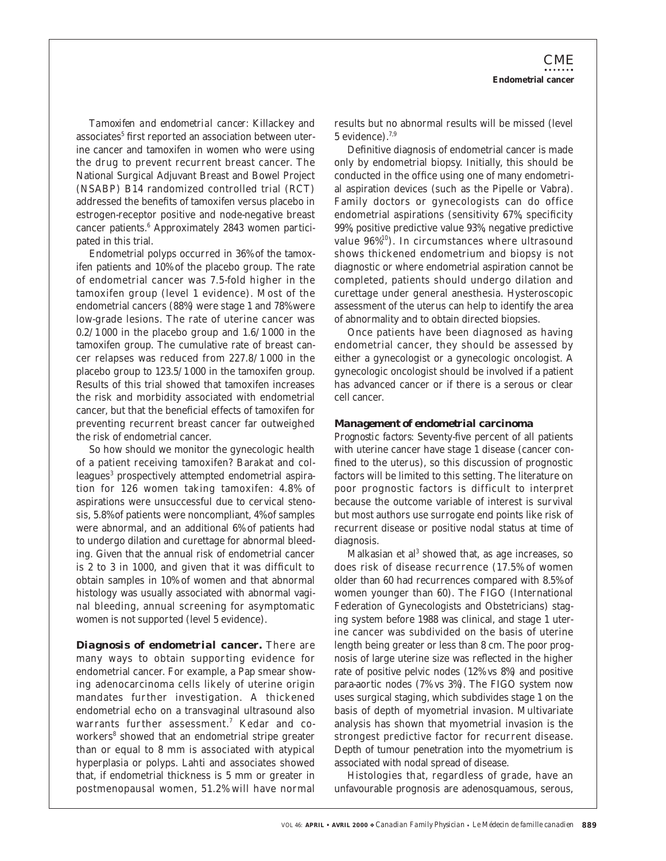*Tamoxifen and endometrial cancer:* Killackey and associates<sup>5</sup> first reported an association between uterine cancer and tamoxifen in women who were using the drug to prevent recurrent breast cancer. The National Surgical Adjuvant Breast and Bowel Project (NSABP) B14 randomized controlled trial (RCT) addressed the benefits of tamoxifen versus placebo in estrogen-receptor positive and node-negative breast cancer patients.<sup>6</sup> Approximately 2843 women participated in this trial.

Endometrial polyps occurred in 36% of the tamoxifen patients and 10% of the placebo group. The rate of endometrial cancer was 7.5-fold higher in the tamoxifen group (level 1 evidence). Most of the endometrial cancers (88%) were stage 1 and 78% were low-grade lesions. The rate of uterine cancer was  $0.2/1000$  in the placebo group and  $1.6/1000$  in the tamoxifen group. The cumulative rate of breast cancer relapses was reduced from 227.8/1 000 in the placebo group to 123.5/1 000 in the tamoxifen group. Results of this trial showed that tamoxifen increases the risk and morbidity associated with endometrial cancer, but that the beneficial effects of tamoxifen for preventing recurrent breast cancer far outweighed the risk of endometrial cancer.

So how should we monitor the gynecologic health of a patient receiving tamoxifen? Barakat and colleagues<sup>3</sup> prospectively attempted endometrial aspiration for 126 women taking tamoxifen: 4.8% of aspirations were unsuccessful due to cervical stenosis, 5.8% of patients were noncompliant, 4% of samples were abnormal, and an additional 6% of patients had to undergo dilation and curettage for abnormal bleeding. Given that the annual risk of endometrial cancer is 2 to 3 in 1000, and given that it was difficult to obtain samples in 10% of women and that abnormal histology was usually associated with abnormal vaginal bleeding, annual screening for asymptomatic women is not supported (level 5 evidence).

*Diagnosis of endometrial cancer.* There are many ways to obtain supporting evidence for endometrial cancer. For example, a Pap smear showing adenocarcinoma cells likely of uterine origin mandates further investigation. A thickened endometrial echo on a transvaginal ultrasound also warrants further assessment.<sup>7</sup> Kedar and coworkers<sup>8</sup> showed that an endometrial stripe greater than or equal to 8 mm is associated with atypical hyperplasia or polyps. Lahti and associates showed that, if endometrial thickness is 5 mm or greater in postmenopausal women, 51.2% will have normal

results but no abnormal results will be missed (level  $5$  evidence).<sup>7,9</sup>

Definitive diagnosis of endometrial cancer is made only by endometrial biopsy. Initially, this should be conducted in the office using one of many endometrial aspiration devices (such as the Pipelle or Vabra). Family doctors or gynecologists can do office endometrial aspirations (sensitivity 67%, specificity 99%, positive predictive value 93%, negative predictive value 96%10). In circumstances where ultrasound shows thickened endometrium and biopsy is not diagnostic or where endometrial aspiration cannot be completed, patients should undergo dilation and curettage under general anesthesia. Hysteroscopic assessment of the uterus can help to identify the area of abnormality and to obtain directed biopsies.

Once patients have been diagnosed as having endometrial cancer, they should be assessed by either a gynecologist or a gynecologic oncologist. A gynecologic oncologist should be involved if a patient has advanced cancer or if there is a serous or clear cell cancer.

### *Management of endometrial carcinoma*

*Prognostic factors:* Seventy-five percent of all patients with uterine cancer have stage 1 disease (cancer confined to the uterus), so this discussion of prognostic factors will be limited to this setting. The literature on poor prognostic factors is difficult to interpret because the outcome variable of interest is survival but most authors use surrogate end points like risk of recurrent disease or positive nodal status at time of diagnosis.

Malkasian et al<sup>3</sup> showed that, as age increases, so does risk of disease recurrence (17.5% of women older than 60 had recurrences compared with 8.5% of women younger than 60). The FIGO (International Federation of Gynecologists and Obstetricians) staging system before 1988 was clinical, and stage 1 uterine cancer was subdivided on the basis of uterine length being greater or less than 8 cm. The poor prognosis of large uterine size was reflected in the higher rate of positive pelvic nodes (12% vs 8%) and positive para-aortic nodes (7% vs 3%). The FIGO system now uses surgical staging, which subdivides stage 1 on the basis of depth of myometrial invasion. Multivariate analysis has shown that myometrial invasion is the strongest predictive factor for recurrent disease. Depth of tumour penetration into the myometrium is associated with nodal spread of disease.

Histologies that, regardless of grade, have an unfavourable prognosis are adenosquamous, serous,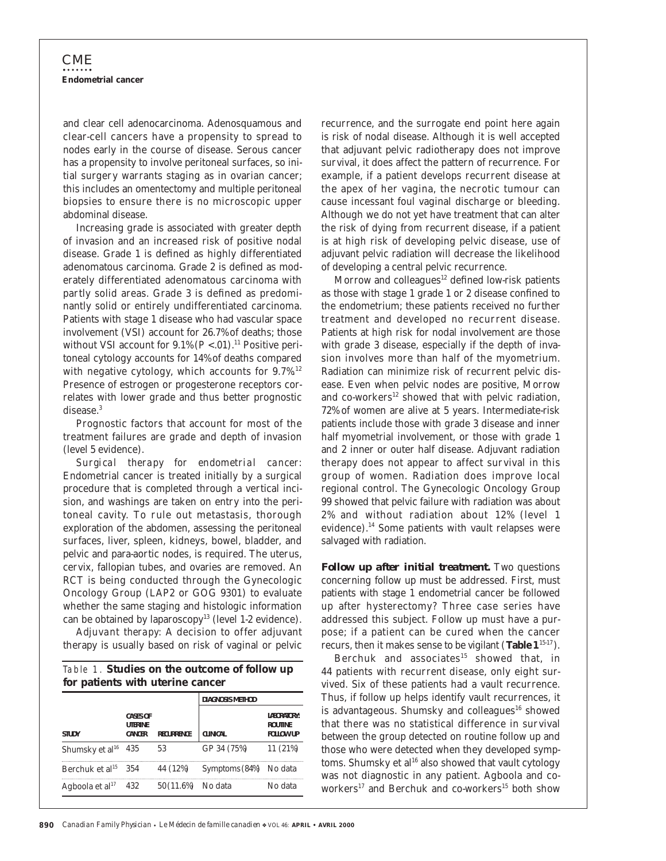and clear cell adenocarcinoma. Adenosquamous and clear-cell cancers have a propensity to spread to nodes early in the course of disease. Serous cancer has a propensity to involve peritoneal surfaces, so initial surgery warrants staging as in ovarian cancer; this includes an omentectomy and multiple peritoneal biopsies to ensure there is no microscopic upper abdominal disease.

Increasing grade is associated with greater depth of invasion and an increased risk of positive nodal disease. Grade 1 is defined as highly differentiated adenomatous carcinoma. Grade 2 is defined as moderately differentiated adenomatous carcinoma with partly solid areas. Grade 3 is defined as predominantly solid or entirely undifferentiated carcinoma. Patients with stage 1 disease who had vascular space involvement (VSI) account for 26.7% of deaths; those without VSI account for  $9.1\%$  ( $P < .01$ ).<sup>11</sup> Positive peritoneal cytology accounts for 14% of deaths compared with negative cytology, which accounts for 9.7%.<sup>12</sup> Presence of estrogen or progesterone receptors correlates with lower grade and thus better prognostic disease.<sup>3</sup>

Prognostic factors that account for most of the treatment failures are grade and depth of invasion (level 5 evidence).

*Surgical therapy for endometrial cancer:* Endometrial cancer is treated initially by a surgical procedure that is completed through a vertical incision, and washings are taken on entry into the peritoneal cavity. To rule out metastasis, thorough exploration of the abdomen, assessing the peritoneal surfaces, liver, spleen, kidneys, bowel, bladder, and pelvic and para-aortic nodes, is required. The uterus, cervix, fallopian tubes, and ovaries are removed. An RCT is being conducted through the Gynecologic Oncology Group (LAP2 or GOG 9301) to evaluate whether the same staging and histologic information can be obtained by laparoscopy<sup>13</sup> (level 1-2 evidence).

*Adjuvant therapy:* A decision to offer adjuvant therapy is usually based on risk of vaginal or pelvic

|  |  |  |                                  | Table 1. Studies on the outcome of follow up |  |
|--|--|--|----------------------------------|----------------------------------------------|--|
|  |  |  | for patients with uterine cancer |                                              |  |

|                                 |                                                     |                   | <b>DIAGNOSIS METHOD</b> |                                                           |
|---------------------------------|-----------------------------------------------------|-------------------|-------------------------|-----------------------------------------------------------|
| <b>STUDY</b>                    | <b>CASES OF</b><br><b>LITERINE</b><br><b>CANCER</b> | <b>RECURRENCE</b> | <b>CLINICAL</b>         | <b>I ARORATORY:</b><br><b>ROUTINE</b><br><b>FOLLOW UP</b> |
| Shumsky et al <sup>16</sup> 435 |                                                     | 53                | GP 34 (75%)             | 11 (21%)                                                  |
| Berchuk et al <sup>15</sup>     | - 354                                               | 44 (12%)          | Symptoms (84%) No data  |                                                           |
| Agboola et al $^{17}$           | 432                                                 | 50 (11.6%)        | No data                 | No data                                                   |

recurrence, and the surrogate end point here again is risk of nodal disease. Although it is well accepted that adjuvant pelvic radiotherapy does not improve survival, it does affect the pattern of recurrence. For example, if a patient develops recurrent disease at the apex of her vagina, the necrotic tumour can cause incessant foul vaginal discharge or bleeding. Although we do not yet have treatment that can alter the risk of dying from recurrent disease, if a patient is at high risk of developing pelvic disease, use of adjuvant pelvic radiation will decrease the likelihood of developing a central pelvic recurrence.

Morrow and colleagues $12$  defined low-risk patients as those with stage 1 grade 1 or 2 disease confined to the endometrium; these patients received no further treatment and developed no recurrent disease. Patients at high risk for nodal involvement are those with grade 3 disease, especially if the depth of invasion involves more than half of the myometrium. Radiation can minimize risk of recurrent pelvic disease. Even when pelvic nodes are positive, Morrow and co-workers<sup>12</sup> showed that with pelvic radiation, 72% of women are alive at 5 years. Intermediate-risk patients include those with grade 3 disease and inner half myometrial involvement, or those with grade 1 and 2 inner or outer half disease. Adjuvant radiation therapy does not appear to affect survival in this group of women. Radiation does improve local regional control. The Gynecologic Oncology Group 99 showed that pelvic failure with radiation was about 2% and without radiation about 12% (level 1 evidence).<sup>14</sup> Some patients with vault relapses were salvaged with radiation.

*Follow up after initial treatment.* Two questions concerning follow up must be addressed. First, must patients with stage 1 endometrial cancer be followed up after hysterectomy? Three case series have addressed this subject. Follow up must have a purpose; if a patient can be cured when the cancer recurs, then it makes sense to be vigilant (Table 1<sup>15-17</sup>).

Berchuk and associates<sup>15</sup> showed that, in 44 patients with recurrent disease, only eight survived. Six of these patients had a vault recurrence. Thus, if follow up helps identify vault recurrences, it is advantageous. Shumsky and colleagues $16$  showed that there was no statistical difference in survival between the group detected on routine follow up and those who were detected when they developed symptoms. Shumsky et al<sup>16</sup> also showed that vault cytology was not diagnostic in any patient. Agboola and coworkers<sup>17</sup> and Berchuk and co-workers<sup>15</sup> both show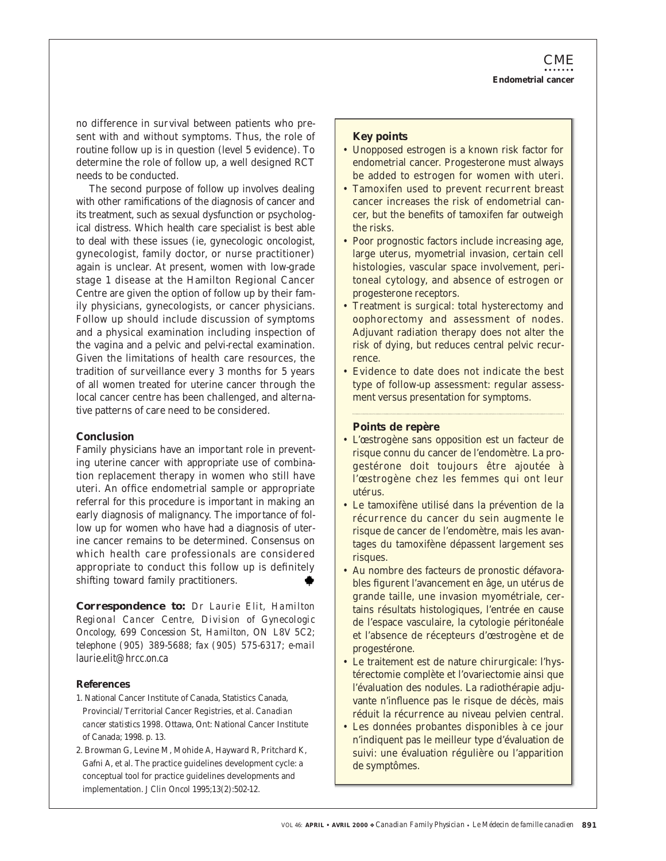no difference in survival between patients who present with and without symptoms. Thus, the role of routine follow up is in question (level 5 evidence). To determine the role of follow up, a well designed RCT needs to be conducted.

The second purpose of follow up involves dealing with other ramifications of the diagnosis of cancer and its treatment, such as sexual dysfunction or psychological distress. Which health care specialist is best able to deal with these issues (ie, gynecologic oncologist, gynecologist, family doctor, or nurse practitioner) again is unclear. At present, women with low-grade stage 1 disease at the Hamilton Regional Cancer Centre are given the option of follow up by their family physicians, gynecologists, or cancer physicians. Follow up should include discussion of symptoms and a physical examination including inspection of the vagina and a pelvic and pelvi-rectal examination. Given the limitations of health care resources, the tradition of surveillance every 3 months for 5 years of all women treated for uterine cancer through the local cancer centre has been challenged, and alternative patterns of care need to be considered.

## **Conclusion**

Family physicians have an important role in preventing uterine cancer with appropriate use of combination replacement therapy in women who still have uteri. An office endometrial sample or appropriate referral for this procedure is important in making an early diagnosis of malignancy. The importance of follow up for women who have had a diagnosis of uterine cancer remains to be determined. Consensus on which health care professionals are considered appropriate to conduct this follow up is definitely shifting toward family practitioners.

*Correspondence to: Dr Laurie Elit, Hamilton Regional Cancer Centre, Division of Gynecologic Oncology, 699 Concession St, Hamilton, ON L8V 5C2; telephone (905) 389-5688; fax (905) 575-6317; e-mail* laurie.elit@hrcc.on.ca

### **References**

- 1. National Cancer Institute of Canada, Statistics Canada, Provincial/Territorial Cancer Registries, et al. *Canadian cancer statistics 1998*. Ottawa, Ont: National Cancer Institute of Canada; 1998. p. 13.
- 2. Browman G, Levine M, Mohide A, Hayward R, Pritchard K, Gafni A, et al. The practice guidelines development cycle: a conceptual tool for practice guidelines developments and implementation. *J Clin Oncol* 1995;13(2):502-12.

## **Key points**

- Unopposed estrogen is a known risk factor for endometrial cancer. Progesterone must always be added to estrogen for women with uteri.
- Tamoxifen used to prevent recurrent breast cancer increases the risk of endometrial cancer, but the benefits of tamoxifen far outweigh the risks.
- Poor prognostic factors include increasing age, large uterus, myometrial invasion, certain cell histologies, vascular space involvement, peritoneal cytology, and absence of estrogen or progesterone receptors.
- Treatment is surgical: total hysterectomy and oophorectomy and assessment of nodes. Adjuvant radiation therapy does not alter the risk of dying, but reduces central pelvic recurrence.
- Evidence to date does not indicate the best type of follow-up assessment: regular assessment versus presentation for symptoms.

### **Points de repère**

- L'œstrogène sans opposition est un facteur de risque connu du cancer de l'endomètre. La progestérone doit toujours être ajoutée à l'œstrogène chez les femmes qui ont leur utérus.
- Le tamoxifène utilisé dans la prévention de la récurrence du cancer du sein augmente le risque de cancer de l'endomètre, mais les avantages du tamoxifène dépassent largement ses risques.
- Au nombre des facteurs de pronostic défavorables figurent l'avancement en âge, un utérus de grande taille, une invasion myométriale, certains résultats histologiques, l'entrée en cause de l'espace vasculaire, la cytologie péritonéale et l'absence de récepteurs d'œstrogène et de progestérone.
- Le traitement est de nature chirurgicale: l'hystérectomie complète et l'ovariectomie ainsi que l'évaluation des nodules. La radiothérapie adjuvante n'influence pas le risque de décès, mais réduit la récurrence au niveau pelvien central.
- Les données probantes disponibles à ce jour n'indiquent pas le meilleur type d'évaluation de suivi: une évaluation régulière ou l'apparition de symptômes.